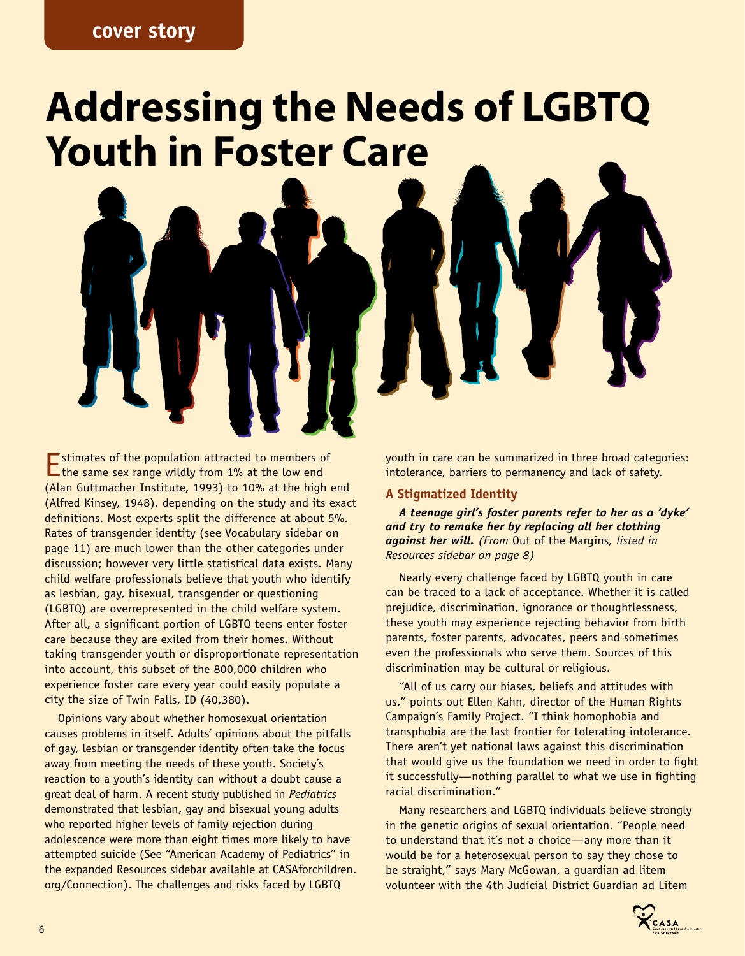# **cover story**

# **Addressing the Needs of LGBTQ Youth in Foster Care**

Estimates of the population attracted to members of  $\Box$  the same sex range wildly from 1% at the low end (Alan Guttmacher Institute, 1993) to 10% at the high end (Alfred Kinsey, 1948), depending on the study and its exact definitions. Most experts split the difference at about 5%. Rates of transgender identity (see Vocabulary sidebar on page 11) are much lower than the other categories under discussion; however very little statistical data exists. Many child welfare professionals believe that youth who identify as lesbian, gay, bisexual, transgender or questioning (LGBTQ) are overrepresented in the child welfare system. After all, a significant portion of LGBTQ teens enter foster care because they are exiled from their homes. Without taking transgender youth or disproportionate representation into account, this subset of the 800,000 children who experience foster care every year could easily populate a city the size of Twin Falls, ID (40,380).

Opinions vary about whether homosexual orientation causes problems in itself. Adults' opinions about the pitfalls of gay, lesbian or transgender identity often take the focus away from meeting the needs of these youth. Society's reaction to a youth's identity can without a doubt cause a great deal of harm. A recent study published in *Pediatrics* demonstrated that lesbian, gay and bisexual young adults who reported higher levels of family rejection during adolescence were more than eight times more likely to have attempted suicide (See "American Academy of Pediatrics" in the expanded Resources sidebar available at CASAforchildren. org/Connection). The challenges and risks faced by LGBTQ

youth in care can be summarized in three broad categories: intolerance, barriers to permanency and lack of safety.

### **A Stigmatized Identity**

*A teenage girl's foster parents refer to her as a 'dyke' and try to remake her by replacing all her clothing against her will. (From* Out of the Margins*, listed in Resources sidebar on page 8)*

Nearly every challenge faced by LGBTQ youth in care can be traced to a lack of acceptance. Whether it is called prejudice, discrimination, ignorance or thoughtlessness, these youth may experience rejecting behavior from birth parents, foster parents, advocates, peers and sometimes even the professionals who serve them. Sources of this discrimination may be cultural or religious.

"All of us carry our biases, beliefs and attitudes with us," points out Ellen Kahn, director of the Human Rights Campaign's Family Project. "I think homophobia and transphobia are the last frontier for tolerating intolerance. There aren't yet national laws against this discrimination that would give us the foundation we need in order to fight it successfully—nothing parallel to what we use in fighting racial discrimination."

Many researchers and LGBTQ individuals believe strongly in the genetic origins of sexual orientation. "People need to understand that it's not a choice—any more than it would be for a heterosexual person to say they chose to be straight," says Mary McGowan, a guardian ad litem volunteer with the 4th Judicial District Guardian ad Litem

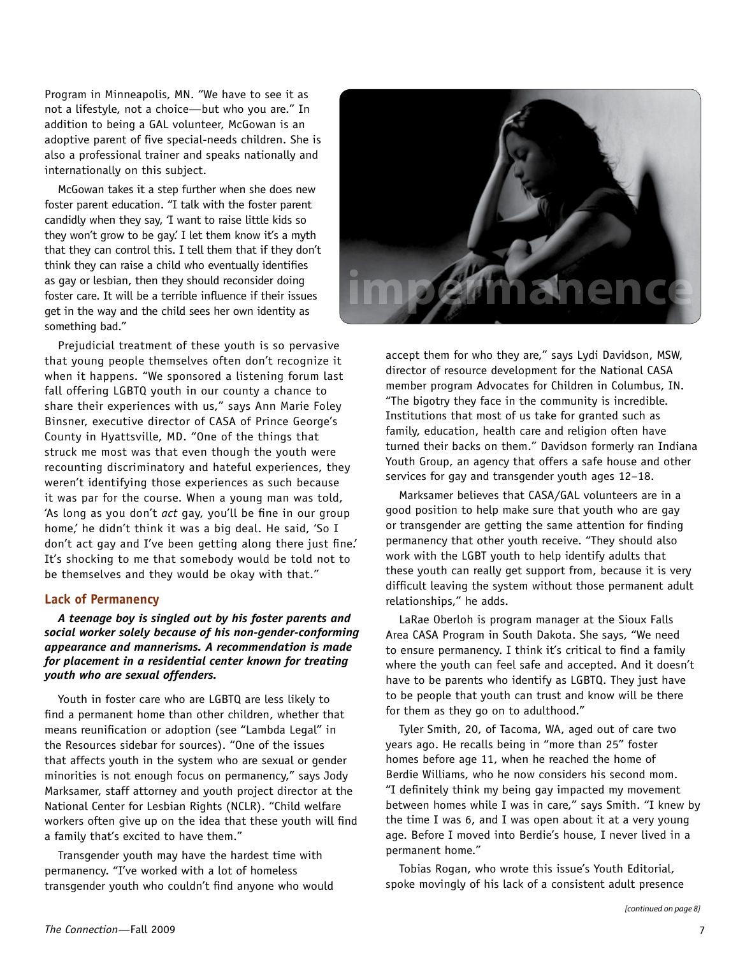Program in Minneapolis, MN. "We have to see it as not a lifestyle, not a choice—but who you are." In addition to being a GAL volunteer, McGowan is an adoptive parent of five special-needs children. She is also a professional trainer and speaks nationally and internationally on this subject.

McGowan takes it a step further when she does new foster parent education. "I talk with the foster parent candidly when they say, 'I want to raise little kids so they won't grow to be gay. I let them know it's a myth that they can control this. I tell them that if they don't think they can raise a child who eventually identifies as gay or lesbian, then they should reconsider doing foster care. It will be a terrible influence if their issues get in the way and the child sees her own identity as something bad."

Prejudicial treatment of these youth is so pervasive that young people themselves often don't recognize it when it happens. "We sponsored a listening forum last fall offering LGBTQ youth in our county a chance to share their experiences with us," says Ann Marie Foley Binsner, executive director of CASA of Prince George's County in Hyattsville, MD. "One of the things that struck me most was that even though the youth were recounting discriminatory and hateful experiences, they weren't identifying those experiences as such because it was par for the course. When a young man was told, 'As long as you don't *act* gay, you'll be fine in our group home,' he didn't think it was a big deal. He said, 'So I don't act gay and I've been getting along there just fine.' It's shocking to me that somebody would be told not to be themselves and they would be okay with that."

#### **Lack of Permanency**

*A teenage boy is singled out by his foster parents and social worker solely because of his non-gender-conforming appearance and mannerisms. A recommendation is made for placement in a residential center known for treating youth who are sexual offenders.*

Youth in foster care who are LGBTQ are less likely to find a permanent home than other children, whether that means reunification or adoption (see "Lambda Legal" in the Resources sidebar for sources). "One of the issues that affects youth in the system who are sexual or gender minorities is not enough focus on permanency," says Jody Marksamer, staff attorney and youth project director at the National Center for Lesbian Rights (NCLR). "Child welfare workers often give up on the idea that these youth will find a family that's excited to have them."

Transgender youth may have the hardest time with permanency. "I've worked with a lot of homeless transgender youth who couldn't find anyone who would



accept them for who they are," says Lydi Davidson, MSW, director of resource development for the National CASA member program Advocates for Children in Columbus, IN. "The bigotry they face in the community is incredible. Institutions that most of us take for granted such as family, education, health care and religion often have turned their backs on them." Davidson formerly ran Indiana Youth Group, an agency that offers a safe house and other services for gay and transgender youth ages 12–18.

Marksamer believes that CASA/GAL volunteers are in a good position to help make sure that youth who are gay or transgender are getting the same attention for finding permanency that other youth receive. "They should also work with the LGBT youth to help identify adults that these youth can really get support from, because it is very difficult leaving the system without those permanent adult relationships," he adds.

LaRae Oberloh is program manager at the Sioux Falls Area CASA Program in South Dakota. She says, "We need to ensure permanency. I think it's critical to find a family where the youth can feel safe and accepted. And it doesn't have to be parents who identify as LGBTQ. They just have to be people that youth can trust and know will be there for them as they go on to adulthood."

Tyler Smith, 20, of Tacoma, WA, aged out of care two years ago. He recalls being in "more than 25" foster homes before age 11, when he reached the home of Berdie Williams, who he now considers his second mom. "I definitely think my being gay impacted my movement between homes while I was in care," says Smith. "I knew by the time I was 6, and I was open about it at a very young age. Before I moved into Berdie's house, I never lived in a permanent home."

Tobias Rogan, who wrote this issue's Youth Editorial, spoke movingly of his lack of a consistent adult presence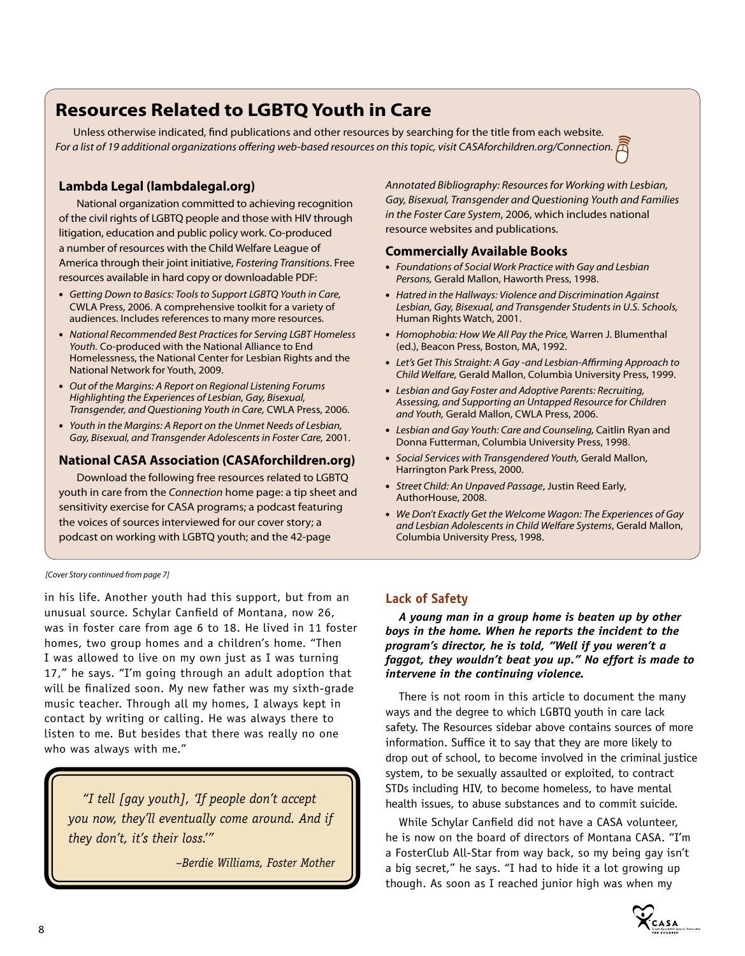# **Resources Related to LGBTQ Youth in Care**

Unless otherwise indicated, find publications and other resources by searching for the title from each website. *For a list of 19 additional organizations offering web-based resources on this topic, visit CASAforchildren.org/Connection.*

# **Lambda Legal (lambdalegal.org)**

National organization committed to achieving recognition of the civil rights of LGBTQ people and those with HIV through litigation, education and public policy work. Co-produced a number of resources with the Child Welfare League of America through their joint initiative, *Fostering Transitions*. Free resources available in hard copy or downloadable PDF:

- *Getting Down to Basics: Tools to Support LGBTQ Youth in Care,*  CWLA Press, 2006. A comprehensive toolkit for a variety of audiences. Includes references to many more resources.
- *National Recommended Best Practices for Serving LGBT Homeless Youth.* Co-produced with the National Alliance to End Homelessness, the National Center for Lesbian Rights and the National Network for Youth, 2009.
- *Out of the Margins: A Report on Regional Listening Forums Highlighting the Experiences of Lesbian, Gay, Bisexual, Transgender, and Questioning Youth in Care,* CWLA Press, 2006.
- *Youth in the Margins: A Report on the Unmet Needs of Lesbian, Gay, Bisexual, and Transgender Adolescents in Foster Care,* 2001.

# **National CASA Association (CASAforchildren.org)**

Download the following free resources related to LGBTQ youth in care from the *Connection* home page: a tip sheet and sensitivity exercise for CASA programs; a podcast featuring the voices of sources interviewed for our cover story; a podcast on working with LGBTQ youth; and the 42-page

*Annotated Bibliography: Resources for Working with Lesbian, Gay, Bisexual, Transgender and Questioning Youth and Families in the Foster Care System*, 2006, which includes national resource websites and publications.

### **Commercially Available Books**

- *Foundations of Social Work Practice with Gay and Lesbian Persons,* Gerald Mallon, Haworth Press, 1998.
- *Hatred in the Hallways: Violence and Discrimination Against Lesbian, Gay, Bisexual, and Transgender Students in U.S. Schools,*  Human Rights Watch, 2001.
- *Homophobia: How We All Pay the Price,* Warren J. Blumenthal (ed.), Beacon Press, Boston, MA, 1992.
- Let's Get This Straight: A Gay and Lesbian-Affirming Approach to *Child Welfare,* Gerald Mallon, Columbia University Press, 1999.
- *Lesbian and Gay Foster and Adoptive Parents: Recruiting, Assessing, and Supporting an Untapped Resource for Children and Youth,* Gerald Mallon, CWLA Press, 2006.
- *Lesbian and Gay Youth: Care and Counseling,* Caitlin Ryan and Donna Futterman, Columbia University Press, 1998.
- *Social Services with Transgendered Youth,* Gerald Mallon, Harrington Park Press, 2000.
- *Street Child: An Unpaved Passage*, Justin Reed Early, AuthorHouse, 2008.
- *We Don't Exactly Get the Welcome Wagon: The Experiences of Gay and Lesbian Adolescents in Child Welfare Systems*, Gerald Mallon, Columbia University Press, 1998.

*[Cover Story continued from page 7]*

in his life. Another youth had this support, but from an unusual source. Schylar Canfield of Montana, now 26, was in foster care from age 6 to 18. He lived in 11 foster homes, two group homes and a children's home. "Then I was allowed to live on my own just as I was turning 17 ," he says. "I'm going through an adult adoption that will be finalized soon. My new father was my sixth-grade music teacher. Through all my homes, I always kept in contact by writing or calling. He was always there to listen to me. But besides that there was really no one who was always with me."

*"I tell [gay youth], 'If people don't accept you now, they'll eventually come around. And if they don't, it's their loss.'"* 

*–Berdie Williams, Foster Mother*

# **Lack of Safety**

*A young man in a group home is beaten up by other boys in the home. When he reports the incident to the program's director, he is told, "Well if you weren't a faggot, they wouldn't beat you up." No effort is made to intervene in the continuing violence.*

There is not room in this article to document the many ways and the degree to which LGBTQ youth in care lack safety. The Resources sidebar above contains sources of more information. Suffice it to say that they are more likely to drop out of school, to become involved in the criminal justice system, to be sexually assaulted or exploited, to contract STDs including HIV, to become homeless, to have mental health issues, to abuse substances and to commit suicide.

While Schylar Canfield did not have a CASA volunteer, he is now on the board of directors of Montana CASA. "I'm a FosterClub All-Star from way back, so my being gay isn't a big secret," he says. "I had to hide it a lot growing up though. As soon as I reached junior high was when my

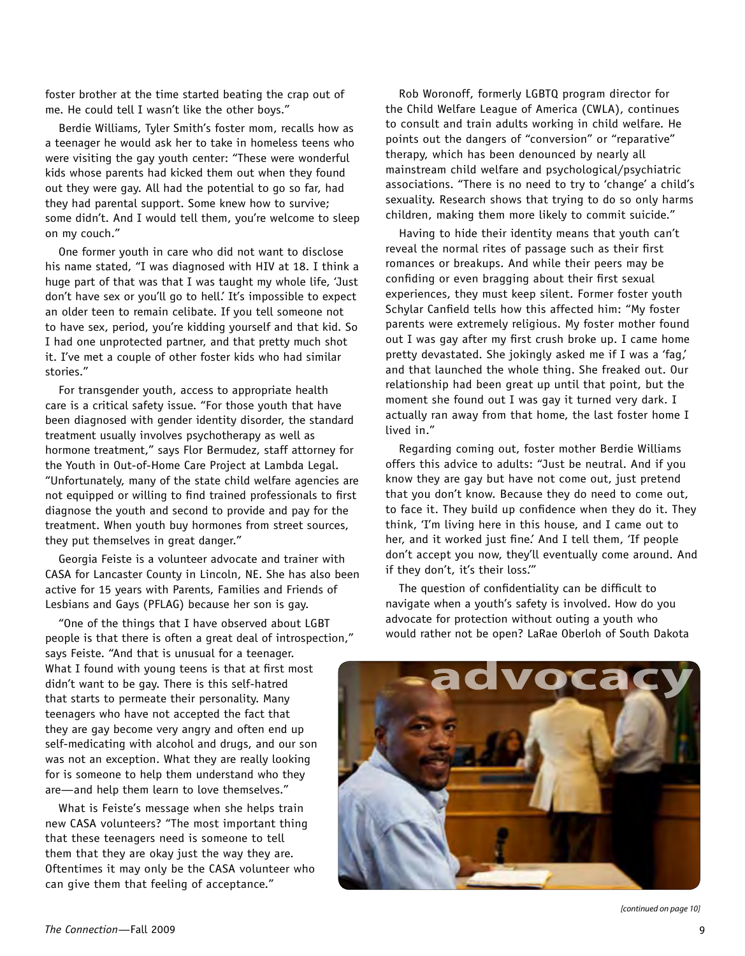foster brother at the time started beating the crap out of me. He could tell I wasn't like the other boys."

Berdie Williams, Tyler Smith's foster mom, recalls how as a teenager he would ask her to take in homeless teens who were visiting the gay youth center: "These were wonderful kids whose parents had kicked them out when they found out they were gay. All had the potential to go so far, had they had parental support. Some knew how to survive; some didn't. And I would tell them, you're welcome to sleep on my couch."

One former youth in care who did not want to disclose his name stated, "I was diagnosed with HIV at 18. I think a huge part of that was that I was taught my whole life, 'Just don't have sex or you'll go to hell.' It's impossible to expect an older teen to remain celibate. If you tell someone not to have sex, period, you're kidding yourself and that kid. So I had one unprotected partner, and that pretty much shot it. I've met a couple of other foster kids who had similar stories."

For transgender youth, access to appropriate health care is a critical safety issue. "For those youth that have been diagnosed with gender identity disorder, the standard treatment usually involves psychotherapy as well as hormone treatment," says Flor Bermudez, staff attorney for the Youth in Out-of-Home Care Project at Lambda Legal. "Unfortunately, many of the state child welfare agencies are not equipped or willing to find trained professionals to first diagnose the youth and second to provide and pay for the treatment. When youth buy hormones from street sources, they put themselves in great danger."

Georgia Feiste is a volunteer advocate and trainer with CASA for Lancaster County in Lincoln, NE. She has also been active for 15 years with Parents, Families and Friends of Lesbians and Gays (PFLAG) because her son is gay.

"One of the things that I have observed about LGBT people is that there is often a great deal of introspection," says Feiste. "And that is unusual for a teenager. What I found with young teens is that at first most didn't want to be gay. There is this self-hatred that starts to permeate their personality. Many teenagers who have not accepted the fact that they are gay become very angry and often end up self-medicating with alcohol and drugs, and our son was not an exception. What they are really looking for is someone to help them understand who they are—and help them learn to love themselves."

What is Feiste's message when she helps train new CASA volunteers? "The most important thing that these teenagers need is someone to tell them that they are okay just the way they are. Oftentimes it may only be the CASA volunteer who can give them that feeling of acceptance."

Rob Woronoff, formerly LGBTQ program director for the Child Welfare League of America (CWLA), continues to consult and train adults working in child welfare. He points out the dangers of "conversion" or "reparative" therapy, which has been denounced by nearly all mainstream child welfare and psychological/psychiatric associations. "There is no need to try to 'change' a child's sexuality. Research shows that trying to do so only harms children, making them more likely to commit suicide."

Having to hide their identity means that youth can't reveal the normal rites of passage such as their first romances or breakups. And while their peers may be confiding or even bragging about their first sexual experiences, they must keep silent. Former foster youth Schylar Canfield tells how this affected him: "My foster parents were extremely religious. My foster mother found out I was gay after my first crush broke up. I came home pretty devastated. She jokingly asked me if I was a 'fag,' and that launched the whole thing. She freaked out. Our relationship had been great up until that point, but the moment she found out I was gay it turned very dark. I actually ran away from that home, the last foster home I lived in."

Regarding coming out, foster mother Berdie Williams offers this advice to adults: "Just be neutral. And if you know they are gay but have not come out, just pretend that you don't know. Because they do need to come out, to face it. They build up confidence when they do it. They think, 'I'm living here in this house, and I came out to her, and it worked just fine.' And I tell them, 'If people don't accept you now, they'll eventually come around. And if they don't, it's their loss.'"

The question of confidentiality can be difficult to navigate when a youth's safety is involved. How do you advocate for protection without outing a youth who would rather not be open? LaRae Oberloh of South Dakota



*[continued on page 10]*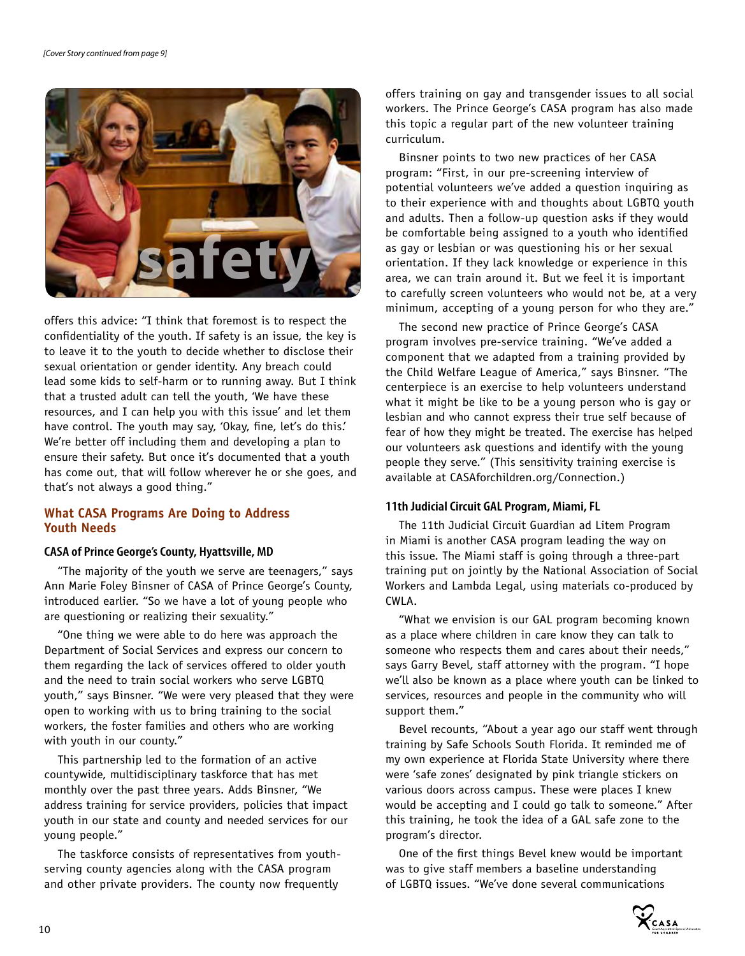

offers this advice: "I think that foremost is to respect the confidentiality of the youth. If safety is an issue, the key is to leave it to the youth to decide whether to disclose their sexual orientation or gender identity. Any breach could lead some kids to self-harm or to running away. But I think that a trusted adult can tell the youth, 'We have these resources, and I can help you with this issue' and let them have control. The youth may say, 'Okay, fine, let's do this.' We're better off including them and developing a plan to ensure their safety. But once it's documented that a youth has come out, that will follow wherever he or she goes, and that's not always a good thing."

### **What CASA Programs Are Doing to Address Youth Needs**

#### **CASA of Prince George's County, Hyattsville, MD**

"The majority of the youth we serve are teenagers," says Ann Marie Foley Binsner of CASA of Prince George's County, introduced earlier. "So we have a lot of young people who are questioning or realizing their sexuality."

"One thing we were able to do here was approach the Department of Social Services and express our concern to them regarding the lack of services offered to older youth and the need to train social workers who serve LGBTQ youth," says Binsner. "We were very pleased that they were open to working with us to bring training to the social workers, the foster families and others who are working with youth in our county."

This partnership led to the formation of an active countywide, multidisciplinary taskforce that has met monthly over the past three years. Adds Binsner, "We address training for service providers, policies that impact youth in our state and county and needed services for our young people."

The taskforce consists of representatives from youthserving county agencies along with the CASA program and other private providers. The county now frequently

offers training on gay and transgender issues to all social workers. The Prince George's CASA program has also made this topic a regular part of the new volunteer training curriculum.

Binsner points to two new practices of her CASA program: "First, in our pre-screening interview of potential volunteers we've added a question inquiring as to their experience with and thoughts about LGBTQ youth and adults. Then a follow-up question asks if they would be comfortable being assigned to a youth who identified as gay or lesbian or was questioning his or her sexual orientation. If they lack knowledge or experience in this area, we can train around it. But we feel it is important to carefully screen volunteers who would not be, at a very minimum, accepting of a young person for who they are."

The second new practice of Prince George's CASA program involves pre-service training. "We've added a component that we adapted from a training provided by the Child Welfare League of America," says Binsner. "The centerpiece is an exercise to help volunteers understand what it might be like to be a young person who is gay or lesbian and who cannot express their true self because of fear of how they might be treated. The exercise has helped our volunteers ask questions and identify with the young people they serve." (This sensitivity training exercise is available at CASAforchildren.org/Connection.)

#### **11th Judicial Circuit GAL Program, Miami, FL**

The 11th Judicial Circuit Guardian ad Litem Program in Miami is another CASA program leading the way on this issue. The Miami staff is going through a three-part training put on jointly by the National Association of Social Workers and Lambda Legal, using materials co-produced by CWLA.

"What we envision is our GAL program becoming known as a place where children in care know they can talk to someone who respects them and cares about their needs," says Garry Bevel, staff attorney with the program. "I hope we'll also be known as a place where youth can be linked to services, resources and people in the community who will support them."

Bevel recounts, "About a year ago our staff went through training by Safe Schools South Florida. It reminded me of my own experience at Florida State University where there were 'safe zones' designated by pink triangle stickers on various doors across campus. These were places I knew would be accepting and I could go talk to someone." After this training, he took the idea of a GAL safe zone to the program's director.

One of the first things Bevel knew would be important was to give staff members a baseline understanding of LGBTQ issues. "We've done several communications

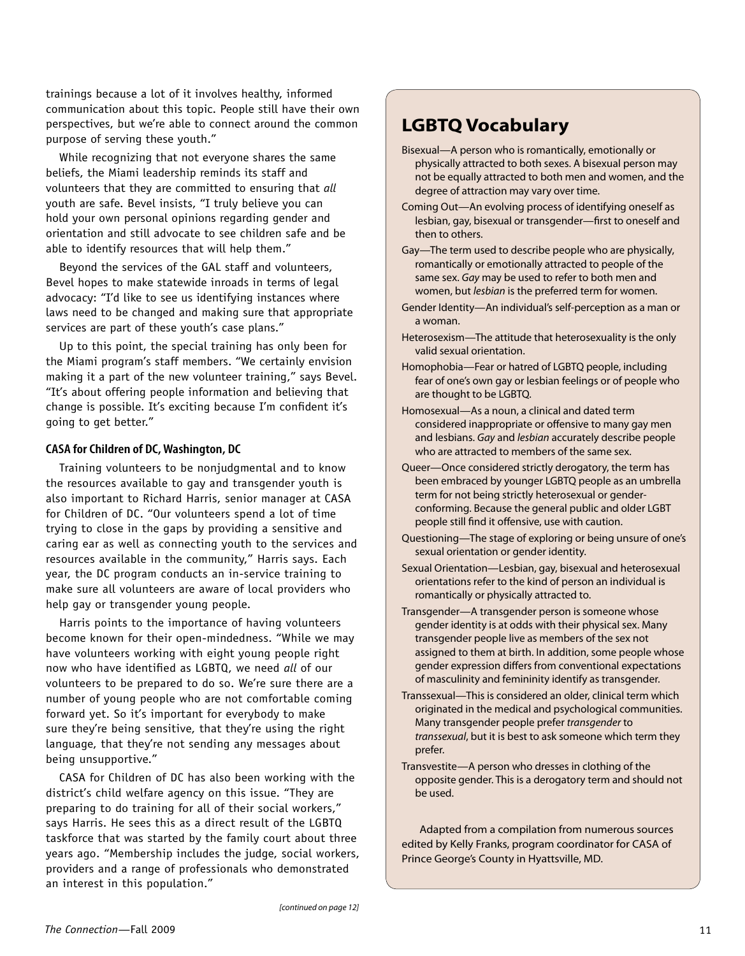trainings because a lot of it involves healthy, informed communication about this topic. People still have their own perspectives, but we're able to connect around the common purpose of serving these youth."

While recognizing that not everyone shares the same beliefs, the Miami leadership reminds its staff and volunteers that they are committed to ensuring that *all* youth are safe. Bevel insists, "I truly believe you can hold your own personal opinions regarding gender and orientation and still advocate to see children safe and be able to identify resources that will help them."

Beyond the services of the GAL staff and volunteers, Bevel hopes to make statewide inroads in terms of legal advocacy: "I'd like to see us identifying instances where laws need to be changed and making sure that appropriate services are part of these youth's case plans."

Up to this point, the special training has only been for the Miami program's staff members. "We certainly envision making it a part of the new volunteer training," says Bevel. "It's about offering people information and believing that change is possible. It's exciting because I'm confident it's going to get better."

### **CASA for Children of DC, Washington, DC**

Training volunteers to be nonjudgmental and to know the resources available to gay and transgender youth is also important to Richard Harris, senior manager at CASA for Children of DC. "Our volunteers spend a lot of time trying to close in the gaps by providing a sensitive and caring ear as well as connecting youth to the services and resources available in the community," Harris says. Each year, the DC program conducts an in-service training to make sure all volunteers are aware of local providers who help gay or transgender young people.

Harris points to the importance of having volunteers become known for their open-mindedness. "While we may have volunteers working with eight young people right now who have identified as LGBTQ, we need *all* of our volunteers to be prepared to do so. We're sure there are a number of young people who are not comfortable coming forward yet. So it's important for everybody to make sure they're being sensitive, that they're using the right language, that they're not sending any messages about being unsupportive."

CASA for Children of DC has also been working with the district's child welfare agency on this issue. "They are preparing to do training for all of their social workers," says Harris. He sees this as a direct result of the LGBTQ taskforce that was started by the family court about three years ago. "Membership includes the judge, social workers, providers and a range of professionals who demonstrated an interest in this population."

# **LGBTQ Vocabulary**

- Bisexual—A person who is romantically, emotionally or physically attracted to both sexes. A bisexual person may not be equally attracted to both men and women, and the degree of attraction may vary over time.
- Coming Out—An evolving process of identifying oneself as lesbian, gay, bisexual or transgender—first to oneself and then to others.
- Gay—The term used to describe people who are physically, romantically or emotionally attracted to people of the same sex. *Gay* may be used to refer to both men and women, but *lesbian* is the preferred term for women.
- Gender Identity—An individual's self-perception as a man or a woman.
- Heterosexism—The attitude that heterosexuality is the only valid sexual orientation.
- Homophobia—Fear or hatred of LGBTQ people, including fear of one's own gay or lesbian feelings or of people who are thought to be LGBTQ.
- Homosexual—As a noun, a clinical and dated term considered inappropriate or offensive to many gay men and lesbians. *Gay* and *lesbian* accurately describe people who are attracted to members of the same sex.
- Queer—Once considered strictly derogatory, the term has been embraced by younger LGBTQ people as an umbrella term for not being strictly heterosexual or genderconforming. Because the general public and older LGBT people still find it offensive, use with caution.
- Questioning—The stage of exploring or being unsure of one's sexual orientation or gender identity.
- Sexual Orientation—Lesbian, gay, bisexual and heterosexual orientations refer to the kind of person an individual is romantically or physically attracted to.
- Transgender—A transgender person is someone whose gender identity is at odds with their physical sex. Many transgender people live as members of the sex not assigned to them at birth. In addition, some people whose gender expression differs from conventional expectations of masculinity and femininity identify as transgender.
- Transsexual—This is considered an older, clinical term which originated in the medical and psychological communities. Many transgender people prefer *transgender* to *transsexual*, but it is best to ask someone which term they prefer.
- Transvestite—A person who dresses in clothing of the opposite gender. This is a derogatory term and should not be used.

Adapted from a compilation from numerous sources edited by Kelly Franks, program coordinator for CASA of Prince George's County in Hyattsville, MD.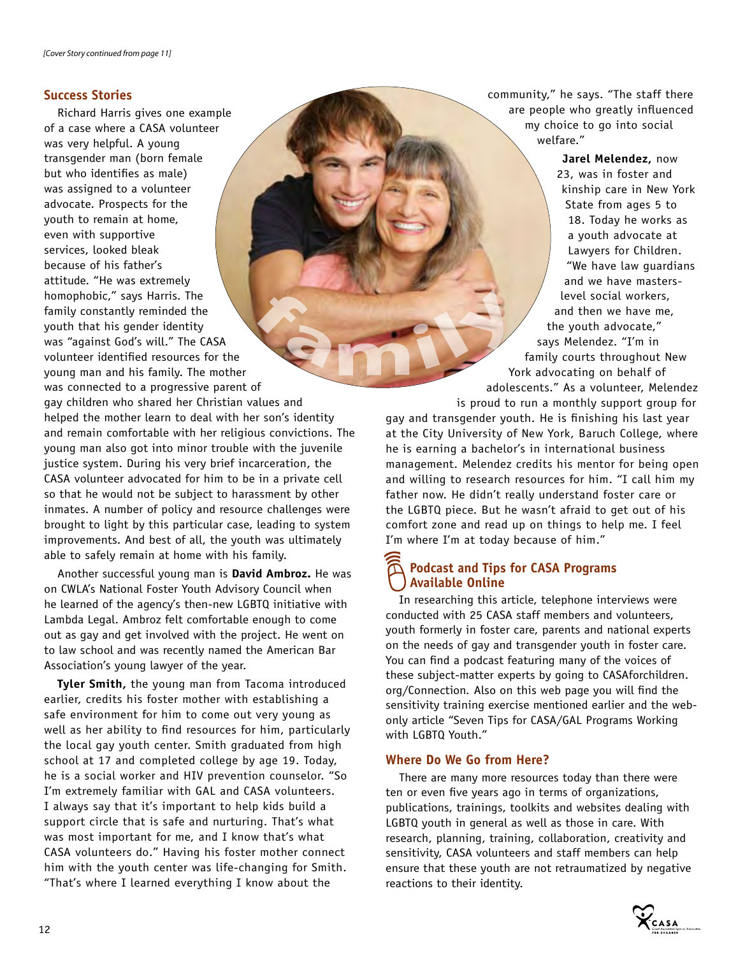## **Success Stories**

Richard Harris gives one example of a case where a CASA volunteer was very helpful. A young transgender man (born female but who identifies as male) was assigned to a volunteer advocate. Prospects for the youth to remain at home, even with supportive services, looked bleak because of his father's attitude. "He was extremely homophobic," says Harris. The family constantly reminded the youth that his gender identity was "against God's will." The CASA volunteer identified resources for the young man and his family. The mother was connected to a progressive parent of gay children who shared her Christian values and helped the mother learn to deal with her son's identity

and remain comfortable with her religious convictions. The young man also got into minor trouble with the juvenile justice system. During his very brief incarceration, the CASA volunteer advocated for him to be in a private cell so that he would not be subject to harassment by other inmates. A number of policy and resource challenges were brought to light by this particular case, leading to system improvements. And best of all, the youth was ultimately able to safely remain at home with his family.

Another successful young man is **David Ambroz.** He was on CWLA's National Foster Youth Advisory Council when he learned of the agency's then-new LGBTQ initiative with Lambda Legal. Ambroz felt comfortable enough to come out as gay and get involved with the project. He went on to law school and was recently named the American Bar Association's young lawyer of the year.

**Tyler Smith,** the young man from Tacoma introduced earlier, credits his foster mother with establishing a safe environment for him to come out very young as well as her ability to find resources for him, particularly the local gay youth center. Smith graduated from high school at 17 and completed college by age 19. Today, he is a social worker and HIV prevention counselor. "So I'm extremely familiar with GAL and CASA volunteers. I always say that it's important to help kids build a support circle that is safe and nurturing. That's what was most important for me, and I know that's what CASA volunteers do." Having his foster mother connect him with the youth center was life-changing for Smith. "That's where I learned everything I know about the

community," he says. "The staff there are people who greatly influenced my choice to go into social welfare."

**Jarel Melendez,** now 23, was in foster and kinship care in New York State from ages 5 to 18. Today he works as a youth advocate at Lawyers for Children. "We have law guardians and we have masterslevel social workers, and then we have me, the youth advocate," says Melendez. "I'm in family courts throughout New York advocating on behalf of adolescents." As a volunteer, Melendez is proud to run a monthly support group for

gay and transgender youth. He is finishing his last year at the City University of New York, Baruch College, where he is earning a bachelor's in international business management. Melendez credits his mentor for being open and willing to research resources for him. "I call him my father now. He didn't really understand foster care or the LGBTQ piece. But he wasn't afraid to get out of his comfort zone and read up on things to help me. I feel I'm where I'm at today because of him."

# **Podcast and Tips for CASA Programs Available Online**

In researching this article, telephone interviews were conducted with 25 CASA staff members and volunteers, youth formerly in foster care, parents and national experts on the needs of gay and transgender youth in foster care. You can find a podcast featuring many of the voices of these subject-matter experts by going to CASAforchildren. org/Connection*.* Also on this web page you will find the sensitivity training exercise mentioned earlier and the webonly article "Seven Tips for CASA/GAL Programs Working with LGBTQ Youth."

### **Where Do We Go from Here?**

There are many more resources today than there were ten or even five years ago in terms of organizations, publications, trainings, toolkits and websites dealing with LGBTQ youth in general as well as those in care. With research, planning, training, collaboration, creativity and sensitivity, CASA volunteers and staff members can help ensure that these youth are not retraumatized by negative reactions to their identity.